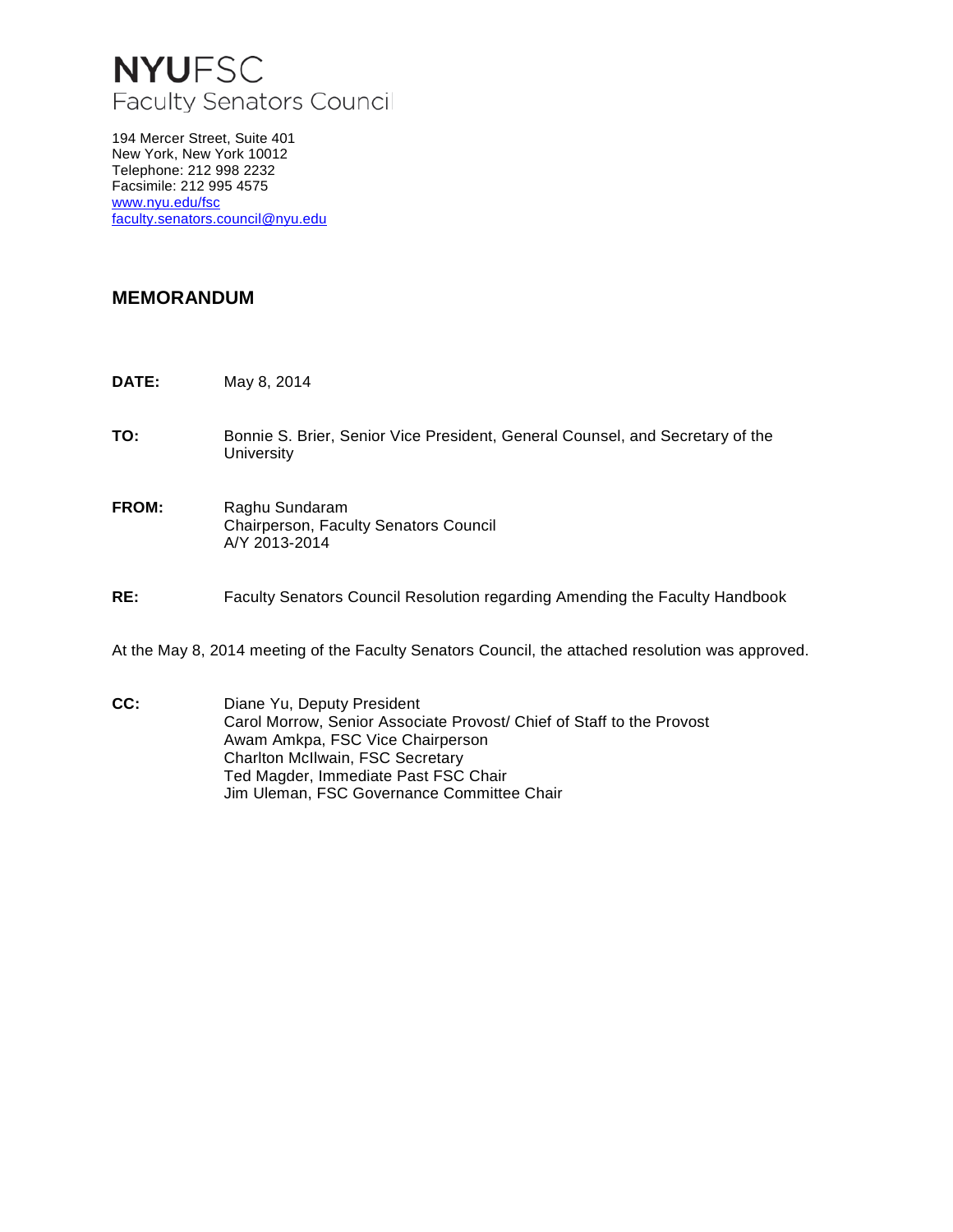## **NYUFSC** Faculty Senators Council

194 Mercer Street, Suite 401 New York, New York 10012 Telephone: 212 998 2232 Facsimile: 212 995 4575 [www.nyu.edu/fsc](http://www.nyu.edu/fsc) [faculty.senators.council@nyu.edu](mailto:faculty.senators.council@nyu.edu)

## **MEMORANDUM**

- **DATE:** May 8, 2014
- **TO:** Bonnie S. Brier, Senior Vice President, General Counsel, and Secretary of the **University**
- **FROM:** Raghu Sundaram Chairperson, Faculty Senators Council A/Y 2013-2014
- **RE:** Faculty Senators Council Resolution regarding Amending the Faculty Handbook

At the May 8, 2014 meeting of the Faculty Senators Council, the attached resolution was approved.

**CC:** Diane Yu, Deputy President Carol Morrow, Senior Associate Provost/ Chief of Staff to the Provost Awam Amkpa, FSC Vice Chairperson Charlton McIlwain, FSC Secretary Ted Magder, Immediate Past FSC Chair Jim Uleman, FSC Governance Committee Chair